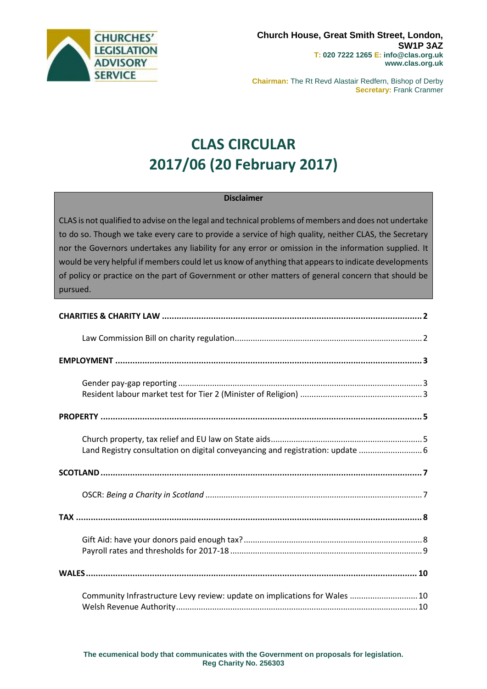

**Chairman:** The Rt Revd Alastair Redfern, Bishop of Derby **Secretary:** Frank Cranmer

# **CLAS CIRCULAR 2017/06 (20 February 2017)**

#### **Disclaimer**

CLAS is not qualified to advise on the legal and technical problems of members and does not undertake to do so. Though we take every care to provide a service of high quality, neither CLAS, the Secretary nor the Governors undertakes any liability for any error or omission in the information supplied. It would be very helpful if members could let us know of anything that appears to indicate developments of policy or practice on the part of Government or other matters of general concern that should be pursued.

| Land Registry consultation on digital conveyancing and registration: update  6 |
|--------------------------------------------------------------------------------|
|                                                                                |
|                                                                                |
|                                                                                |
|                                                                                |
|                                                                                |
| Community Infrastructure Levy review: update on implications for Wales  10     |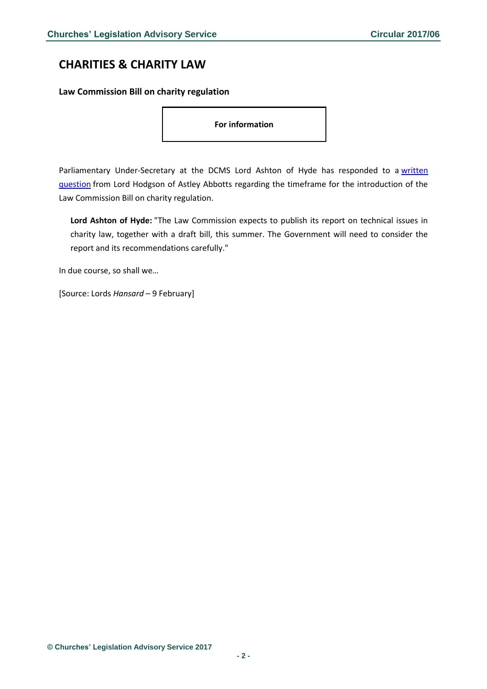# <span id="page-1-0"></span>**CHARITIES & CHARITY LAW**

#### <span id="page-1-1"></span>**Law Commission Bill on charity regulation**

**For information**

Parliamentary Under-Secretary at the DCMS Lord Ashton of Hyde has responded to a written [question](http://www.parliament.uk/business/publications/written-questions-answers-statements/written-question/Lords/2017-01-30/HL5100/) from Lord Hodgson of Astley Abbotts regarding the timeframe for the introduction of the Law Commission Bill on charity regulation.

**Lord Ashton of Hyde:** "The Law Commission expects to publish its report on technical issues in charity law, together with a draft bill, this summer. The Government will need to consider the report and its recommendations carefully."

In due course, so shall we…

[Source: Lords *Hansard* – 9 February]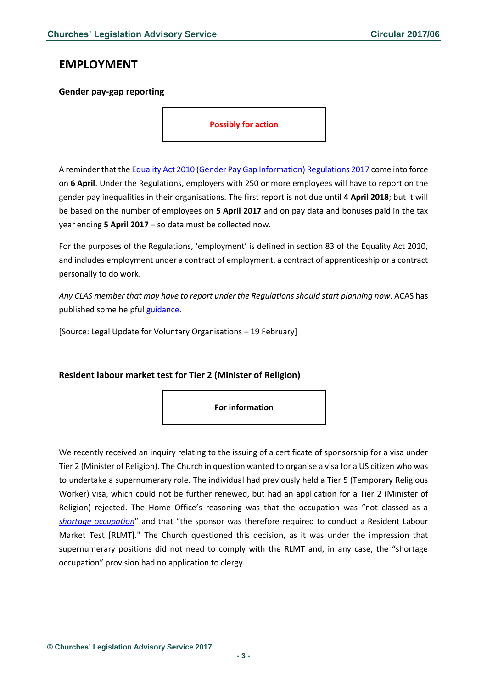# <span id="page-2-0"></span>**EMPLOYMENT**

### <span id="page-2-1"></span>**Gender pay-gap reporting**

**Possibly for action**

A reminder that th[e Equality Act 2010 \(Gender Pay Gap Information\) Regulations 2017](http://www.legislation.gov.uk/ukdsi/2017/9780111152010) come into force on **6 April**. Under the Regulations, employers with 250 or more employees will have to report on the gender pay inequalities in their organisations. The first report is not due until **4 April 2018**; but it will be based on the number of employees on **5 April 2017** and on pay data and bonuses paid in the tax year ending **5 April 2017** – so data must be collected now.

For the purposes of the Regulations, 'employment' is defined in section 83 of the Equality Act 2010, and includes employment under a contract of employment, a contract of apprenticeship or a contract personally to do work.

*Any CLAS member that may have to report under the Regulations should start planning now*. ACAS has published some helpful [guidance.](http://www.acas.org.uk/index.aspx?articleid=5768)

[Source: Legal Update for Voluntary Organisations – 19 February]

### <span id="page-2-2"></span>**Resident labour market test for Tier 2 (Minister of Religion)**



We recently received an inquiry relating to the issuing of a certificate of sponsorship for a visa under Tier 2 (Minister of Religion). The Church in question wanted to organise a visa for a US citizen who was to undertake a supernumerary role. The individual had previously held a Tier 5 (Temporary Religious Worker) visa, which could not be further renewed, but had an application for a Tier 2 (Minister of Religion) rejected. The Home Office's reasoning was that the occupation was "not classed as a *[shortage occupation](https://www.gov.uk/government/uploads/system/uploads/attachment_data/file/486107/Shortage_Occupation_List_-_November_2015.pdf)*" and that "the sponsor was therefore required to conduct a Resident Labour Market Test [RLMT]." The Church questioned this decision, as it was under the impression that supernumerary positions did not need to comply with the RLMT and, in any case, the "shortage occupation" provision had no application to clergy.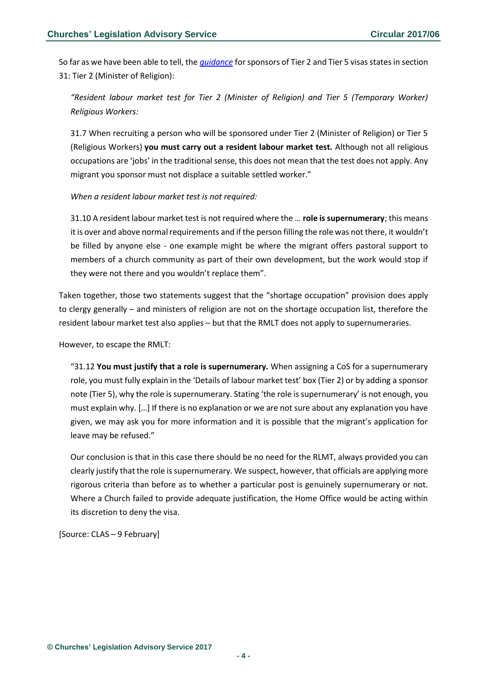So far as we have been able to tell, the *[guidance](https://www.gov.uk/government/uploads/system/uploads/attachment_data/file/571245/Tier_25_guidance_24-11-2016.pdf)* for sponsors of Tier 2 and Tier 5 visas states in section 31: Tier 2 (Minister of Religion):

# *"Resident labour market test for Tier 2 (Minister of Religion) and Tier 5 (Temporary Worker) Religious Workers:*

31.7 When recruiting a person who will be sponsored under Tier 2 (Minister of Religion) or Tier 5 (Religious Workers) **you must carry out a resident labour market test.** Although not all religious occupations are 'jobs' in the traditional sense, this does not mean that the test does not apply. Any migrant you sponsor must not displace a suitable settled worker."

*When a resident labour market test is not required:*

31.10 A resident labour market test is not required where the … **role is supernumerary**; this means it is over and above normal requirements and if the person filling the role was not there, it wouldn't be filled by anyone else - one example might be where the migrant offers pastoral support to members of a church community as part of their own development, but the work would stop if they were not there and you wouldn't replace them".

Taken together, those two statements suggest that the "shortage occupation" provision does apply to clergy generally – and ministers of religion are not on the shortage occupation list, therefore the resident labour market test also applies – but that the RMLT does not apply to supernumeraries.

However, to escape the RMLT:

"31.12 **You must justify that a role is supernumerary.** When assigning a CoS for a supernumerary role, you must fully explain in the 'Details of labour market test' box (Tier 2) or by adding a sponsor note (Tier 5), why the role is supernumerary. Stating 'the role is supernumerary' is not enough, you must explain why. […] If there is no explanation or we are not sure about any explanation you have given, we may ask you for more information and it is possible that the migrant's application for leave may be refused."

Our conclusion is that in this case there should be no need for the RLMT, always provided you can clearly justify that the role is supernumerary. We suspect, however, that officials are applying more rigorous criteria than before as to whether a particular post is genuinely supernumerary or not. Where a Church failed to provide adequate justification, the Home Office would be acting within its discretion to deny the visa.

[Source: CLAS – 9 February]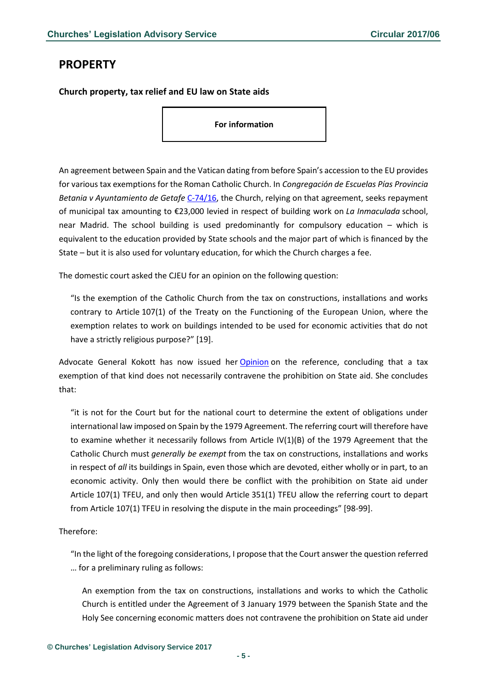# <span id="page-4-0"></span>**PROPERTY**

<span id="page-4-1"></span>**Church property, tax relief and EU law on State aids**

**For information**

An agreement between Spain and the Vatican dating from before Spain's accession to the EU provides for various tax exemptions for the Roman Catholic Church. In *Congregación de Escuelas Pías Provincia Betania v Ayuntamiento de Getafe* [C-74/16,](http://curia.europa.eu/juris/documents.jsf?num=C-74/16) the Church, relying on that agreement, seeks repayment of municipal tax amounting to €23,000 levied in respect of building work on *La Inmaculada* school, near Madrid. The school building is used predominantly for compulsory education – which is equivalent to the education provided by State schools and the major part of which is financed by the State – but it is also used for voluntary education, for which the Church charges a fee.

The domestic court asked the CJEU for an opinion on the following question:

"Is the exemption of the Catholic Church from the tax on constructions, installations and works contrary to Article 107(1) of the Treaty on the Functioning of the European Union, where the exemption relates to work on buildings intended to be used for economic activities that do not have a strictly religious purpose?" [19].

Advocate General Kokott has now issued her [Opinion](http://curia.europa.eu/juris/document/document.jsf;jsessionid=9ea7d0f130d621ba572e37ae4dbd9bd0d7d6d4a22c2f.e34KaxiLc3eQc40LaxqMbN4PahmLe0?text=&docid=187927&pageIndex=0&doclang=en&mode=req&dir=&occ=first&part=1&cid=1114763) on the reference, concluding that a tax exemption of that kind does not necessarily contravene the prohibition on State aid. She concludes that:

"it is not for the Court but for the national court to determine the extent of obligations under international law imposed on Spain by the 1979 Agreement. The referring court will therefore have to examine whether it necessarily follows from Article IV(1)(B) of the 1979 Agreement that the Catholic Church must *generally be exempt* from the tax on constructions, installations and works in respect of *all* its buildings in Spain, even those which are devoted, either wholly or in part, to an economic activity. Only then would there be conflict with the prohibition on State aid under Article 107(1) TFEU, and only then would Article 351(1) TFEU allow the referring court to depart from Article 107(1) TFEU in resolving the dispute in the main proceedings" [98-99].

### Therefore:

"In the light of the foregoing considerations, I propose that the Court answer the question referred … for a preliminary ruling as follows:

An exemption from the tax on constructions, installations and works to which the Catholic Church is entitled under the Agreement of 3 January 1979 between the Spanish State and the Holy See concerning economic matters does not contravene the prohibition on State aid under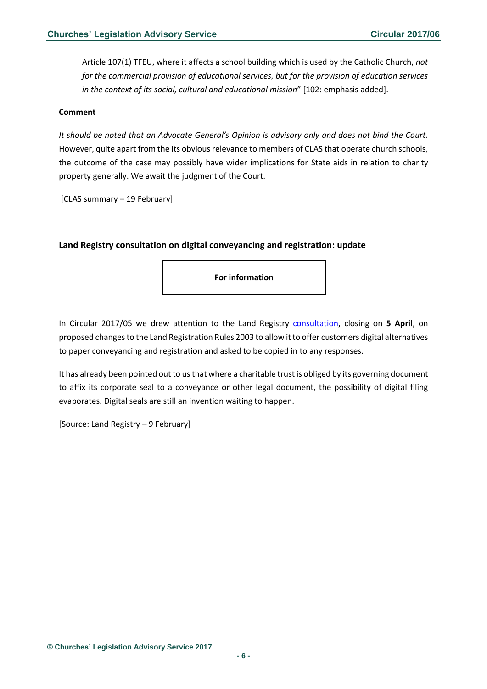Article 107(1) TFEU, where it affects a school building which is used by the Catholic Church, *not for the commercial provision of educational services, but for the provision of education services in the context of its social, cultural and educational mission*" [102: emphasis added].

#### **Comment**

*It should be noted that an Advocate General's Opinion is advisory only and does not bind the Court.* However, quite apart from the its obvious relevance to members of CLAS that operate church schools, the outcome of the case may possibly have wider implications for State aids in relation to charity property generally. We await the judgment of the Court.

[CLAS summary – 19 February]

### <span id="page-5-0"></span>**Land Registry consultation on digital conveyancing and registration: update**

**For information**

In Circular 2017/05 we drew attention to the Land Registry [consultation,](http://www.gov.uk/government/consultations/proposals-to-amend-the-land-registration-rules-2003) closing on **5 April**, on proposed changes to the Land Registration Rules 2003 to allow it to offer customers digital alternatives to paper conveyancing and registration and asked to be copied in to any responses.

It has already been pointed out to us that where a charitable trust is obliged by its governing document to affix its corporate seal to a conveyance or other legal document, the possibility of digital filing evaporates. Digital seals are still an invention waiting to happen.

[Source: Land Registry – 9 February]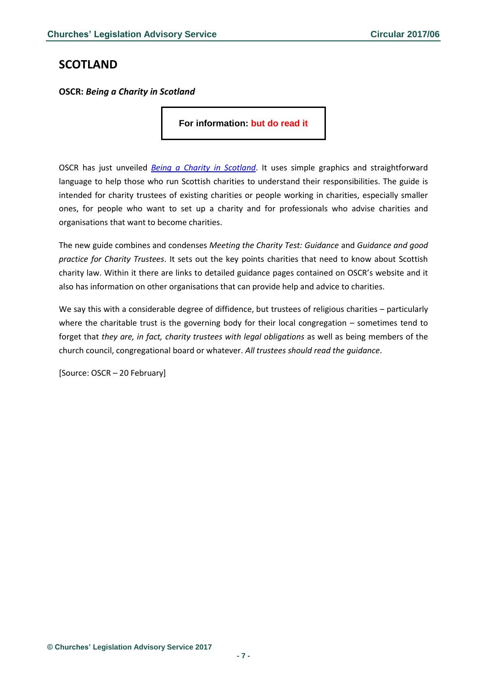# <span id="page-6-0"></span>**SCOTLAND**

<span id="page-6-1"></span>**OSCR:** *Being a Charity in Scotland*

**For information: but do read it**

OSCR has just unveiled *[Being a Charity in Scotland](http://www.oscr.org.uk/charities/guidance/being-a-charity-in-scotland)*. It uses simple graphics and straightforward language to help those who run Scottish charities to understand their responsibilities. The guide is intended for charity trustees of existing charities or people working in charities, especially smaller ones, for people who want to set up a charity and for professionals who advise charities and organisations that want to become charities.

The new guide combines and condenses *Meeting the Charity Test: Guidance* and *Guidance and good practice for Charity Trustees*. It sets out the key points charities that need to know about Scottish charity law. Within it there are links to detailed guidance pages contained on OSCR's website and it also has information on other organisations that can provide help and advice to charities.

We say this with a considerable degree of diffidence, but trustees of religious charities – particularly where the charitable trust is the governing body for their local congregation – sometimes tend to forget that *they are, in fact, charity trustees with legal obligations* as well as being members of the church council, congregational board or whatever. *All trustees should read the guidance*.

[Source: OSCR – 20 February]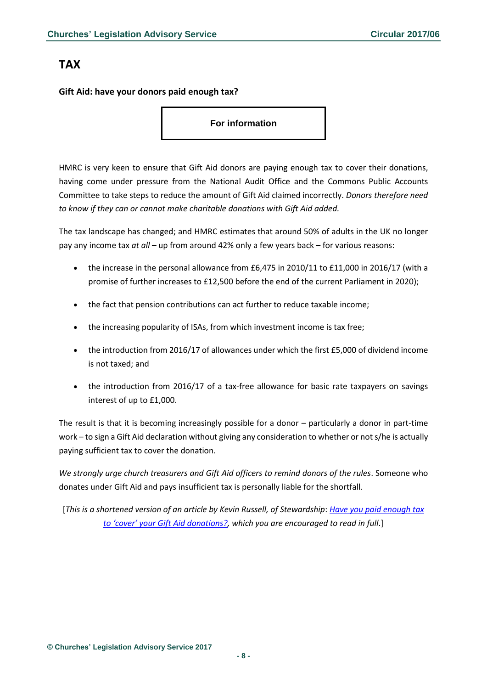# <span id="page-7-0"></span>**TAX**

## <span id="page-7-1"></span>**Gift Aid: have your donors paid enough tax?**

**For information**

HMRC is very keen to ensure that Gift Aid donors are paying enough tax to cover their donations, having come under pressure from the National Audit Office and the Commons Public Accounts Committee to take steps to reduce the amount of Gift Aid claimed incorrectly. *Donors therefore need to know if they can or cannot make charitable donations with Gift Aid added.*

The tax landscape has changed; and HMRC estimates that around 50% of adults in the UK no longer pay any income tax *at all* – up from around 42% only a few years back – for various reasons:

- the increase in the personal allowance from £6,475 in 2010/11 to £11,000 in 2016/17 (with a promise of further increases to £12,500 before the end of the current Parliament in 2020);
- the fact that pension contributions can act further to reduce taxable income;
- the increasing popularity of ISAs, from which investment income is tax free;
- the introduction from 2016/17 of allowances under which the first £5,000 of dividend income is not taxed; and
- the introduction from 2016/17 of a tax-free allowance for basic rate taxpayers on savings interest of up to £1,000.

The result is that it is becoming increasingly possible for a donor – particularly a donor in part-time work – to sign a Gift Aid declaration without giving any consideration to whether or not s/he is actually paying sufficient tax to cover the donation.

We strongly urge church treasurers and Gift Aid officers to remind donors of the rules. Someone who donates under Gift Aid and pays insufficient tax is personally liable for the shortfall.

[*This is a shortened version of an article by Kevin Russell, of Stewardship*: *[Have you paid enough tax](https://www.charitytaxgroup.org.uk/commentary/paid-enough-tax-cover-gift-aid-donations/)  [to 'cover' your Gift Aid donations?](https://www.charitytaxgroup.org.uk/commentary/paid-enough-tax-cover-gift-aid-donations/), which you are encouraged to read in full*.]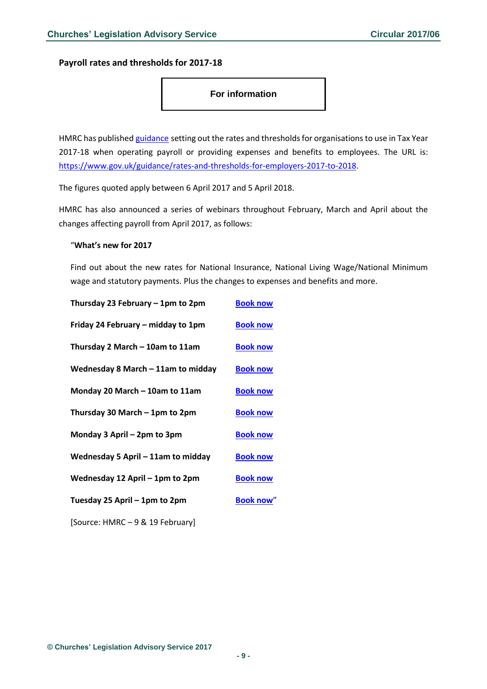<span id="page-8-0"></span>**Payroll rates and thresholds for 2017-18**

### **For information**

HMRC has published [guidance](http://www.gov.uk/guidance/rates-and-thresholds-for-employers-2017-to-2018) setting out the rates and thresholds for organisations to use in Tax Year 2017-18 when operating payroll or providing expenses and benefits to employees. The URL is: [https://www.gov.uk/guidance/rates-and-thresholds-for-employers-2017-to-2018.](https://www.gov.uk/guidance/rates-and-thresholds-for-employers-2017-to-2018)

The figures quoted apply between 6 April 2017 and 5 April 2018.

HMRC has also announced a series of webinars throughout February, March and April about the changes affecting payroll from April 2017, as follows:

#### "**What's new for 2017**

Find out about the new rates for National Insurance, National Living Wage/National Minimum wage and statutory payments. Plus the changes to expenses and benefits and more.

| Thursday 23 February - 1pm to 2pm    | <b>Book now</b>  |
|--------------------------------------|------------------|
| Friday 24 February - midday to 1pm   | <b>Book now</b>  |
| Thursday 2 March - 10am to 11am      | <b>Book now</b>  |
| Wednesday 8 March $-$ 11am to midday | <b>Book now</b>  |
| Monday 20 March - 10am to 11am       | <b>Book now</b>  |
| Thursday 30 March - 1pm to 2pm       | <b>Book now</b>  |
| Monday 3 April - 2pm to 3pm          | <b>Book now</b>  |
| Wednesday 5 April - 11am to midday   | <b>Book now</b>  |
| Wednesday 12 April - 1pm to 2pm      | <b>Book now</b>  |
| Tuesday 25 April – 1pm to 2pm        | <b>Book now"</b> |
| [Source: HMRC-9 & 19 February]       |                  |